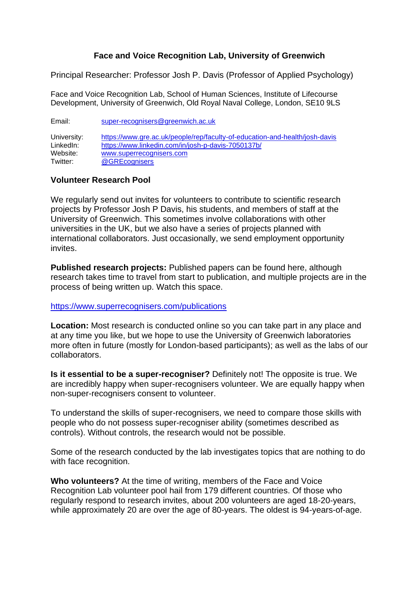## **Face and Voice Recognition Lab, University of Greenwich**

Principal Researcher: Professor Josh P. Davis (Professor of Applied Psychology)

Face and Voice Recognition Lab, School of Human Sciences, Institute of Lifecourse Development, University of Greenwich, Old Royal Naval College, London, SE10 9LS

Email: [super-recognisers@greenwich.ac.uk](mailto:super-recognisers@greenwich.ac.uk)  University: <https://www.gre.ac.uk/people/rep/faculty-of-education-and-health/josh-davis> LinkedIn: <https://www.linkedin.com/in/josh-p-davis-7050137b/><br>Website: www.superrecognisers.com www.superrecognisers.com Twitter: [@GREcognisers](https://twitter.com/GRecognisers)

## **Volunteer Research Pool**

We regularly send out invites for volunteers to contribute to scientific research projects by Professor Josh P Davis, his students, and members of staff at the University of Greenwich. This sometimes involve collaborations with other universities in the UK, but we also have a series of projects planned with international collaborators. Just occasionally, we send employment opportunity invites.

**Published research projects:** Published papers can be found here, although research takes time to travel from start to publication, and multiple projects are in the process of being written up. Watch this space.

## <https://www.superrecognisers.com/publications>

**Location:** Most research is conducted online so you can take part in any place and at any time you like, but we hope to use the University of Greenwich laboratories more often in future (mostly for London-based participants); as well as the labs of our collaborators.

**Is it essential to be a super-recogniser?** Definitely not! The opposite is true. We are incredibly happy when super-recognisers volunteer. We are equally happy when non-super-recognisers consent to volunteer.

To understand the skills of super-recognisers, we need to compare those skills with people who do not possess super-recogniser ability (sometimes described as controls). Without controls, the research would not be possible.

Some of the research conducted by the lab investigates topics that are nothing to do with face recognition.

**Who volunteers?** At the time of writing, members of the Face and Voice Recognition Lab volunteer pool hail from 179 different countries. Of those who regularly respond to research invites, about 200 volunteers are aged 18-20-years, while approximately 20 are over the age of 80-years. The oldest is 94-years-of-age.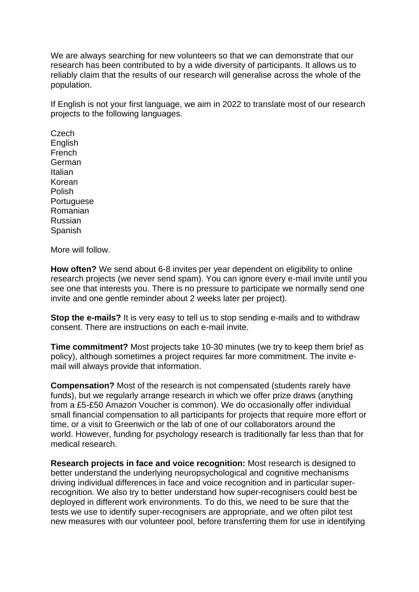We are always searching for new volunteers so that we can demonstrate that our research has been contributed to by a wide diversity of participants. It allows us to reliably claim that the results of our research will generalise across the whole of the population.

If English is not your first language, we aim in 2022 to translate most of our research projects to the following languages.

Czech **English** French German Italian Korean Polish **Portuguese** Romanian Russian **Spanish** 

More will follow.

**How often?** We send about 6-8 invites per year dependent on eligibility to online research projects (we never send spam). You can ignore every e-mail invite until you see one that interests you. There is no pressure to participate we normally send one invite and one gentle reminder about 2 weeks later per project).

**Stop the e-mails?** It is very easy to tell us to stop sending e-mails and to withdraw consent. There are instructions on each e-mail invite.

**Time commitment?** Most projects take 10-30 minutes (we try to keep them brief as policy), although sometimes a project requires far more commitment. The invite email will always provide that information.

**Compensation?** Most of the research is not compensated (students rarely have funds), but we regularly arrange research in which we offer prize draws (anything from a £5-£50 Amazon Voucher is common). We do occasionally offer individual small financial compensation to all participants for projects that require more effort or time, or a visit to Greenwich or the lab of one of our collaborators around the world. However, funding for psychology research is traditionally far less than that for medical research.

**Research projects in face and voice recognition:** Most research is designed to better understand the underlying neuropsychological and cognitive mechanisms driving individual differences in face and voice recognition and in particular superrecognition. We also try to better understand how super-recognisers could best be deployed in different work environments. To do this, we need to be sure that the tests we use to identify super-recognisers are appropriate, and we often pilot test new measures with our volunteer pool, before transferring them for use in identifying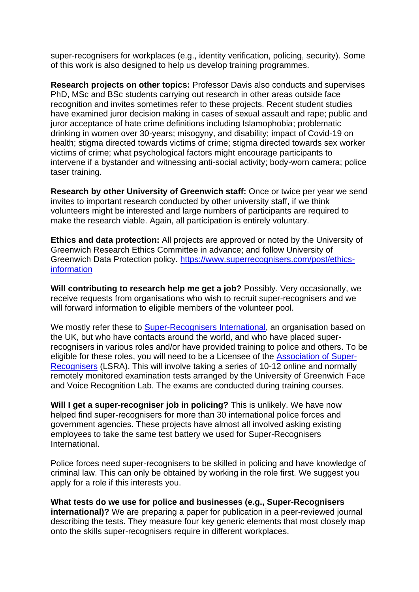super-recognisers for workplaces (e.g., identity verification, policing, security). Some of this work is also designed to help us develop training programmes.

**Research projects on other topics:** Professor Davis also conducts and supervises PhD, MSc and BSc students carrying out research in other areas outside face recognition and invites sometimes refer to these projects. Recent student studies have examined juror decision making in cases of sexual assault and rape; public and juror acceptance of hate crime definitions including Islamophobia; problematic drinking in women over 30-years; misogyny, and disability; impact of Covid-19 on health; stigma directed towards victims of crime; stigma directed towards sex worker victims of crime; what psychological factors might encourage participants to intervene if a bystander and witnessing anti-social activity; body-worn camera; police taser training.

**Research by other University of Greenwich staff:** Once or twice per year we send invites to important research conducted by other university staff, if we think volunteers might be interested and large numbers of participants are required to make the research viable. Again, all participation is entirely voluntary.

**Ethics and data protection:** All projects are approved or noted by the University of Greenwich Research Ethics Committee in advance; and follow University of Greenwich Data Protection policy. [https://www.superrecognisers.com/post/ethics](https://www.superrecognisers.com/post/ethics-information)[information](https://www.superrecognisers.com/post/ethics-information)

**Will contributing to research help me get a job?** Possibly. Very occasionally, we receive requests from organisations who wish to recruit super-recognisers and we will forward information to eligible members of the volunteer pool.

We mostly refer these to [Super-Recognisers International,](https://superrecognisersinternational.com/) an organisation based on the UK, but who have contacts around the world, and who have placed superrecognisers in various roles and/or have provided training to police and others. To be eligible for these roles, you will need to be a Licensee of the [Association of Super-](https://www.associationofsuperrecognisers.org/)[Recognisers](https://www.associationofsuperrecognisers.org/) (LSRA). This will involve taking a series of 10-12 online and normally remotely monitored examination tests arranged by the University of Greenwich Face and Voice Recognition Lab. The exams are conducted during training courses.

**Will I get a super-recogniser job in policing?** This is unlikely. We have now helped find super-recognisers for more than 30 international police forces and government agencies. These projects have almost all involved asking existing employees to take the same test battery we used for Super-Recognisers International.

Police forces need super-recognisers to be skilled in policing and have knowledge of criminal law. This can only be obtained by working in the role first. We suggest you apply for a role if this interests you.

**What tests do we use for police and businesses (e.g., Super-Recognisers international)?** We are preparing a paper for publication in a peer-reviewed journal describing the tests. They measure four key generic elements that most closely map onto the skills super-recognisers require in different workplaces.